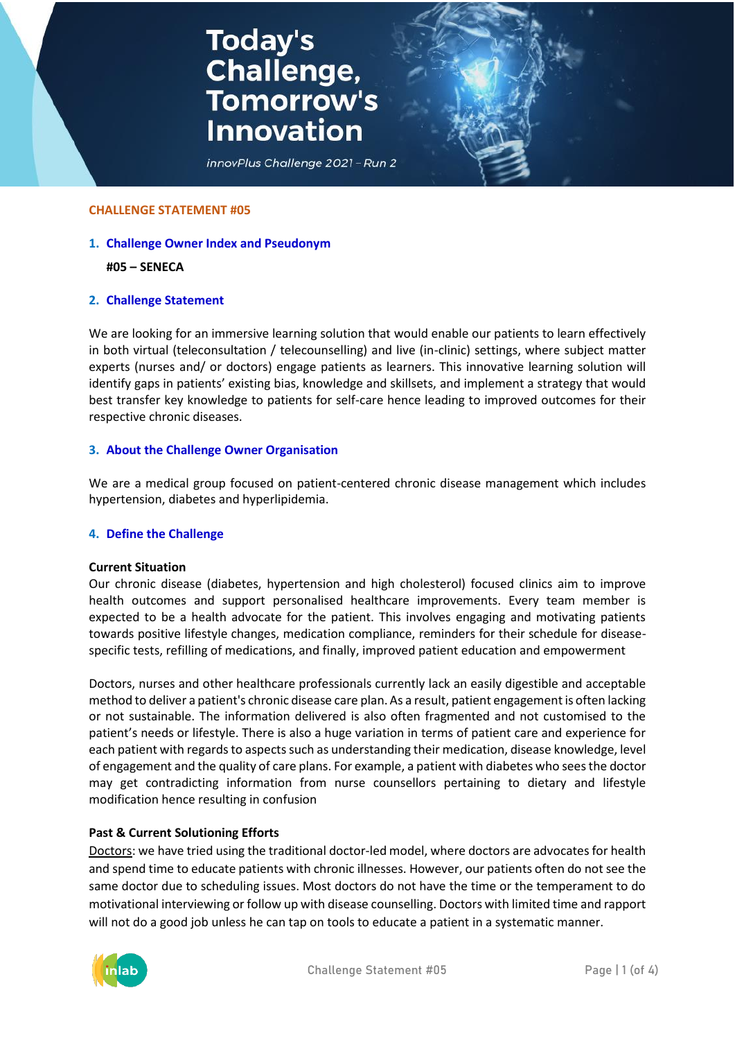# **Today's<br>Challenge,<br>Tomorrow's Innovation**



#### **CHALLENGE STATEMENT #05**

## **1. Challenge Owner Index and Pseudonym**

#### **#05 – SENECA**

## **2. Challenge Statement**

We are looking for an immersive learning solution that would enable our patients to learn effectively in both virtual (teleconsultation / telecounselling) and live (in-clinic) settings, where subject matter experts (nurses and/ or doctors) engage patients as learners. This innovative learning solution will identify gaps in patients' existing bias, knowledge and skillsets, and implement a strategy that would best transfer key knowledge to patients for self-care hence leading to improved outcomes for their respective chronic diseases.

## **3. About the Challenge Owner Organisation**

We are a medical group focused on patient-centered chronic disease management which includes hypertension, diabetes and hyperlipidemia.

#### **4. Define the Challenge**

#### **Current Situation**

Our chronic disease (diabetes, hypertension and high cholesterol) focused clinics aim to improve health outcomes and support personalised healthcare improvements. Every team member is expected to be a health advocate for the patient. This involves engaging and motivating patients towards positive lifestyle changes, medication compliance, reminders for their schedule for diseasespecific tests, refilling of medications, and finally, improved patient education and empowerment

Doctors, nurses and other healthcare professionals currently lack an easily digestible and acceptable method to deliver a patient's chronic disease care plan. As a result, patient engagement is often lacking or not sustainable. The information delivered is also often fragmented and not customised to the patient's needs or lifestyle. There is also a huge variation in terms of patient care and experience for each patient with regards to aspects such as understanding their medication, disease knowledge, level of engagement and the quality of care plans. For example, a patient with diabetes who sees the doctor may get contradicting information from nurse counsellors pertaining to dietary and lifestyle modification hence resulting in confusion

#### **Past & Current Solutioning Efforts**

Doctors: we have tried using the traditional doctor-led model, where doctors are advocates for health and spend time to educate patients with chronic illnesses. However, our patients often do not see the same doctor due to scheduling issues. Most doctors do not have the time or the temperament to do motivational interviewing or follow up with disease counselling. Doctors with limited time and rapport will not do a good job unless he can tap on tools to educate a patient in a systematic manner.

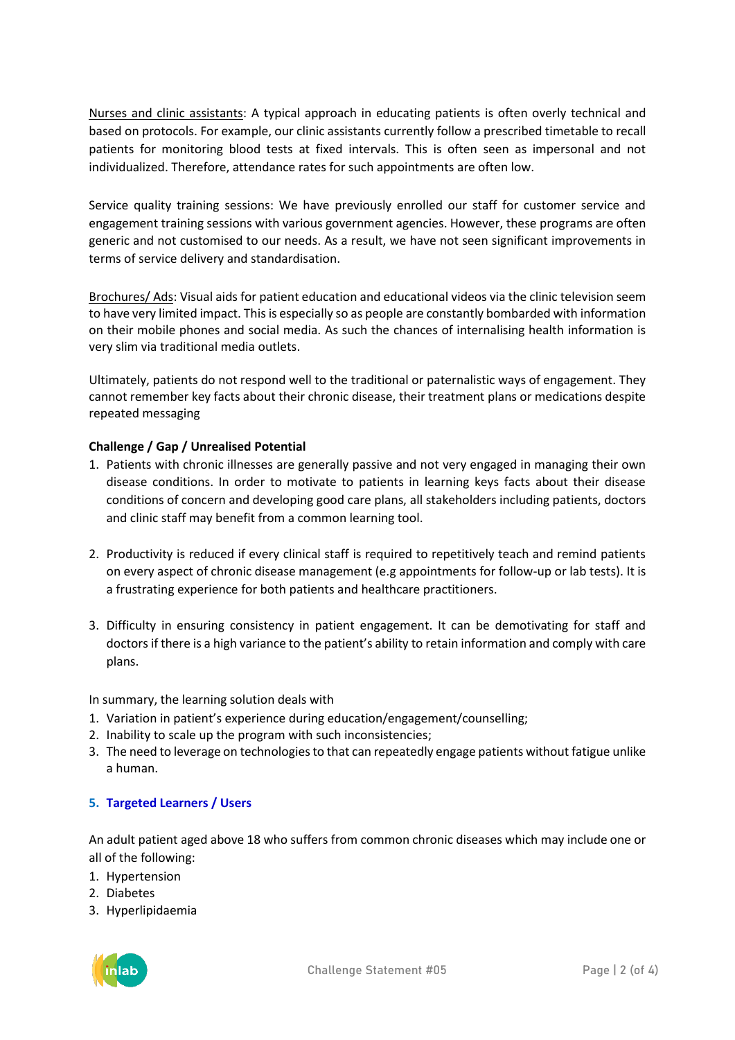Nurses and clinic assistants: A typical approach in educating patients is often overly technical and based on protocols. For example, our clinic assistants currently follow a prescribed timetable to recall patients for monitoring blood tests at fixed intervals. This is often seen as impersonal and not individualized. Therefore, attendance rates for such appointments are often low.

Service quality training sessions: We have previously enrolled our staff for customer service and engagement training sessions with various government agencies. However, these programs are often generic and not customised to our needs. As a result, we have not seen significant improvements in terms of service delivery and standardisation.

Brochures/ Ads: Visual aids for patient education and educational videos via the clinic television seem to have very limited impact. This is especially so as people are constantly bombarded with information on their mobile phones and social media. As such the chances of internalising health information is very slim via traditional media outlets.

Ultimately, patients do not respond well to the traditional or paternalistic ways of engagement. They cannot remember key facts about their chronic disease, their treatment plans or medications despite repeated messaging

# **Challenge / Gap / Unrealised Potential**

- 1. Patients with chronic illnesses are generally passive and not very engaged in managing their own disease conditions. In order to motivate to patients in learning keys facts about their disease conditions of concern and developing good care plans, all stakeholders including patients, doctors and clinic staff may benefit from a common learning tool.
- 2. Productivity is reduced if every clinical staff is required to repetitively teach and remind patients on every aspect of chronic disease management (e.g appointments for follow-up or lab tests). It is a frustrating experience for both patients and healthcare practitioners.
- 3. Difficulty in ensuring consistency in patient engagement. It can be demotivating for staff and doctors if there is a high variance to the patient's ability to retain information and comply with care plans.

In summary, the learning solution deals with

- 1. Variation in patient's experience during education/engagement/counselling;
- 2. Inability to scale up the program with such inconsistencies;
- 3. The need to leverage on technologies to that can repeatedly engage patients without fatigue unlike a human.

## **5. Targeted Learners / Users**

An adult patient aged above 18 who suffers from common chronic diseases which may include one or all of the following:

- 1. Hypertension
- 2. Diabetes
- 3. Hyperlipidaemia

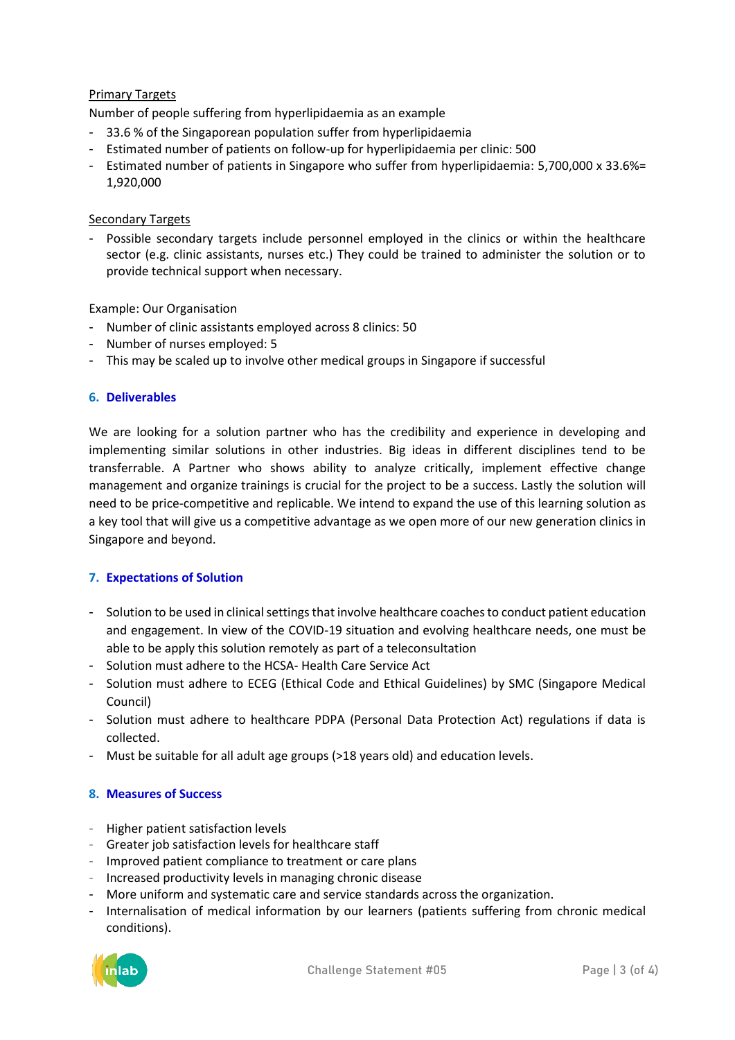## Primary Targets

Number of people suffering from hyperlipidaemia as an example

- 33.6 % of the Singaporean population suffer from hyperlipidaemia
- Estimated number of patients on follow-up for hyperlipidaemia per clinic: 500
- Estimated number of patients in Singapore who suffer from hyperlipidaemia: 5,700,000 x 33.6%= 1,920,000

## **Secondary Targets**

- Possible secondary targets include personnel employed in the clinics or within the healthcare sector (e.g. clinic assistants, nurses etc.) They could be trained to administer the solution or to provide technical support when necessary.

Example: Our Organisation

- Number of clinic assistants employed across 8 clinics: 50
- Number of nurses employed: 5
- This may be scaled up to involve other medical groups in Singapore if successful

## **6. Deliverables**

We are looking for a solution partner who has the credibility and experience in developing and implementing similar solutions in other industries. Big ideas in different disciplines tend to be transferrable. A Partner who shows ability to analyze critically, implement effective change management and organize trainings is crucial for the project to be a success. Lastly the solution will need to be price-competitive and replicable. We intend to expand the use of this learning solution as a key tool that will give us a competitive advantage as we open more of our new generation clinics in Singapore and beyond.

## **7. Expectations of Solution**

- Solution to be used in clinical settings that involve healthcare coaches to conduct patient education and engagement. In view of the COVID-19 situation and evolving healthcare needs, one must be able to be apply this solution remotely as part of a teleconsultation
- Solution must adhere to the HCSA- Health Care Service Act
- Solution must adhere to ECEG (Ethical Code and Ethical Guidelines) by SMC (Singapore Medical Council)
- Solution must adhere to healthcare PDPA (Personal Data Protection Act) regulations if data is collected.
- Must be suitable for all adult age groups (>18 years old) and education levels.

#### **8. Measures of Success**

- Higher patient satisfaction levels
- Greater job satisfaction levels for healthcare staff
- Improved patient compliance to treatment or care plans
- Increased productivity levels in managing chronic disease
- More uniform and systematic care and service standards across the organization.
- Internalisation of medical information by our learners (patients suffering from chronic medical conditions).